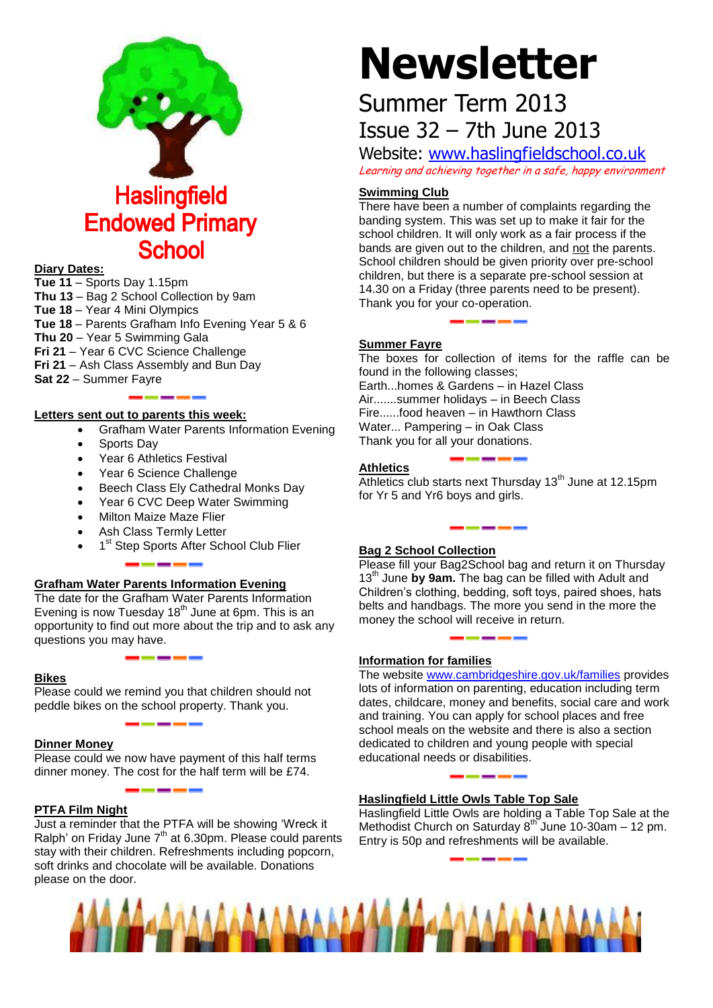

## **Haslingfield Endowed Primary School**

#### **Diary Dates:**

**Tue 11** – Sports Day 1.15pm **Thu 13** – Bag 2 School Collection by 9am **Tue 18** – Year 4 Mini Olympics **Tue 18** – Parents Grafham Info Evening Year 5 & 6 **Thu 20** – Year 5 Swimming Gala **Fri 21** – Year 6 CVC Science Challenge **Fri 21** – Ash Class Assembly and Bun Day **Sat 22** – Summer Fayre

#### **Letters sent out to parents this week:**

- Grafham Water Parents Information Evening
- Sports Day
- Year 6 Athletics Festival
- Year 6 Science Challenge
- Beech Class Ely Cathedral Monks Day
- Year 6 CVC Deep Water Swimming
- Milton Maize Maze Flier
- Ash Class Termly Letter
- 1<sup>st</sup> Step Sports After School Club Flier

#### **Grafham Water Parents Information Evening**

The date for the Grafham Water Parents Information Evening is now Tuesday  $18<sup>th</sup>$  June at 6pm. This is an opportunity to find out more about the trip and to ask any questions you may have.

#### **Bikes**

Please could we remind you that children should not peddle bikes on the school property. Thank you.

#### **Dinner Money**

Please could we now have payment of this half terms dinner money. The cost for the half term will be £74.

#### **PTFA Film Night**

Just a reminder that the PTFA will be showing 'Wreck it Ralph' on Friday June  $7<sup>th</sup>$  at 6.30pm. Please could parents stay with their children. Refreshments including popcorn, soft drinks and chocolate will be available. Donations please on the door.

# **Newsletter**

## Summer Term 2013 Issue 32 – 7th June 2013

Website: [www.haslingfieldschool.co.uk](http://www.haslingfieldschool.co.uk/) Learning and achieving together in a safe, happy environment

#### **Swimming Club**

There have been a number of complaints regarding the banding system. This was set up to make it fair for the school children. It will only work as a fair process if the bands are given out to the children, and not the parents. School children should be given priority over pre-school children, but there is a separate pre-school session at 14.30 on a Friday (three parents need to be present). Thank you for your co-operation.

#### **Summer Fayre**

The boxes for collection of items for the raffle can be found in the following classes; Earth...homes & Gardens – in Hazel Class Air.......summer holidays – in Beech Class Fire......food heaven – in Hawthorn Class Water... Pampering – in Oak Class Thank you for all your donations.

#### **Athletics**

Athletics club starts next Thursday 13<sup>th</sup> June at 12.15pm for Yr 5 and Yr6 boys and girls.

#### **Bag 2 School Collection**

Please fill your Bag2School bag and return it on Thursday 13<sup>th</sup> June by 9am. The bag can be filled with Adult and Children's clothing, bedding, soft toys, paired shoes, hats belts and handbags. The more you send in the more the money the school will receive in return.

#### **Information for families**

The website [www.cambridgeshire.gov.uk/families](http://www.cambridgeshire.gov.uk/families) provides lots of information on parenting, education including term dates, childcare, money and benefits, social care and work and training. You can apply for school places and free school meals on the website and there is also a section dedicated to children and young people with special educational needs or disabilities.

#### **Haslingfield Little Owls Table Top Sale**

Haslingfield Little Owls are holding a Table Top Sale at the Methodist Church on Saturday 8<sup>th</sup> June 10-30am – 12 pm. Entry is 50p and refreshments will be available.